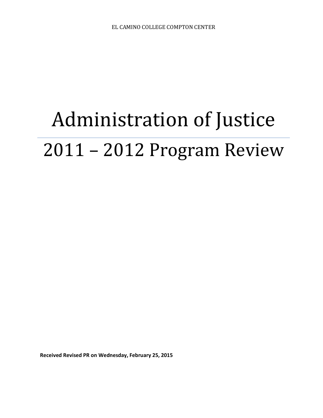# Administration of Justice 2011 – 2012 Program Review

**Received Revised PR on Wednesday, February 25, 2015**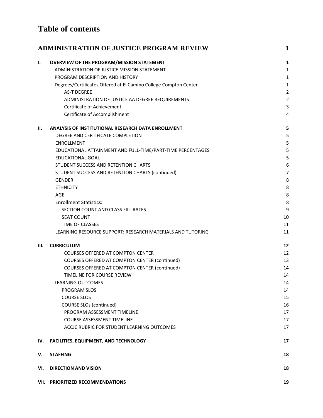# **Table of contents**

|     | <b>ADMINISTRATION OF JUSTICE PROGRAM REVIEW</b>                  | 1                       |
|-----|------------------------------------------------------------------|-------------------------|
| ı.  | <b>OVERVIEW OF THE PROGRAM/MISSION STATEMENT</b>                 | 1                       |
|     | ADMINISTRATION OF JUSTICE MISSION STATEMENT                      | 1                       |
|     | PROGRAM DESCRIPTION AND HISTORY                                  | 1                       |
|     | Degrees/Certificates Offered at El Camino College Compton Center | 1                       |
|     | <b>AS-T DEGREE</b>                                               | $\overline{c}$          |
|     | ADMINISTRATION OF JUSTICE AA DEGREE REQUIREMENTS                 | $\overline{\mathbf{c}}$ |
|     | Certificate of Achievement                                       | 3                       |
|     | Certificate of Accomplishment                                    | 4                       |
| П.  | ANALYSIS OF INSTITUTIONAL RESEARCH DATA ENROLLMENT               | 5                       |
|     | DEGREE AND CERTIFICATE COMPLETION                                | 5                       |
|     | <b>ENROLLMENT</b>                                                | 5                       |
|     | EDUCATIONAL ATTAINMENT AND FULL-TIME/PART-TIME PERCENTAGES       | 5                       |
|     | <b>EDUCATIONAL GOAL</b>                                          | 5                       |
|     | STUDENT SUCCESS AND RETENTION CHARTS                             | 6                       |
|     | STUDENT SUCCESS AND RETENTION CHARTS (continued)                 | 7                       |
|     | <b>GENDER</b>                                                    | 8                       |
|     | <b>ETHNICITY</b>                                                 | 8                       |
|     | AGE                                                              | 8                       |
|     | <b>Enrollment Statistics:</b>                                    | 8                       |
|     | SECTION COUNT AND CLASS FILL RATES                               | 9                       |
|     | <b>SEAT COUNT</b>                                                | 10                      |
|     | <b>TIME OF CLASSES</b>                                           | 11                      |
|     | LEARNING RESOURCE SUPPORT: RESEARCH MATERIALS AND TUTORING       | 11                      |
| Ш.  | <b>CURRICULUM</b>                                                | 12                      |
|     | <b>COURSES OFFERED AT COMPTON CENTER</b>                         | 12                      |
|     | <b>COURSES OFFERED AT COMPTON CENTER (continued)</b>             | 13                      |
|     | <b>COURSES OFFERED AT COMPTON CENTER (continued)</b>             | 14                      |
|     | TIMELINE FOR COURSE REVIEW                                       | 14                      |
|     | LEARNING OUTCOMES                                                | 14                      |
|     | <b>PROGRAM SLOS</b>                                              | 14                      |
|     | <b>COURSE SLOS</b>                                               | 15                      |
|     | <b>COURSE SLOs (continued)</b>                                   | 16                      |
|     | PROGRAM ASSESSMENT TIMELINE                                      | 17                      |
|     | <b>COURSE ASSESSMENT TIMELINE</b>                                | 17                      |
|     | ACCJC RUBRIC FOR STUDENT LEARNING OUTCOMES                       | 17                      |
| IV. | <b>FACILITIES, EQUIPMENT, AND TECHNOLOGY</b>                     | 17                      |
| ٧.  | <b>STAFFING</b>                                                  | 18                      |
| VI. | <b>DIRECTION AND VISION</b>                                      | 18                      |
|     | VII. PRIORITIZED RECOMMENDATIONS                                 | 19                      |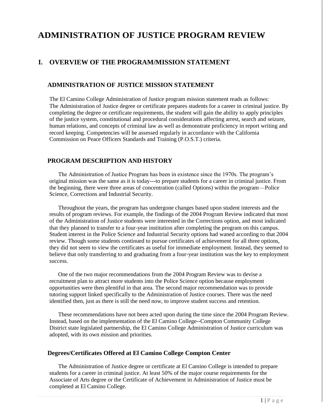## <span id="page-2-0"></span>**ADMINISTRATION OF JUSTICE PROGRAM REVIEW**

## <span id="page-2-1"></span>**I. OVERVIEW OF THE PROGRAM/MISSION STATEMENT**

### <span id="page-2-2"></span>**ADMINISTRATION OF JUSTICE MISSION STATEMENT**

The El Camino College Administration of Justice program mission statement reads as follows: The Administration of Justice degree or certificate prepares students for a career in criminal justice. By completing the degree or certificate requirements, the student will gain the ability to apply principles of the justice system, constitutional and procedural considerations affecting arrest, search and seizure, human relations, and concepts of criminal law as well as demonstrate proficiency in report writing and record keeping. Competencies will be assessed regularly in accordance with the California Commission on Peace Officers Standards and Training (P.O.S.T.) criteria.

### <span id="page-2-3"></span>**PROGRAM DESCRIPTION AND HISTORY**

 The Administration of Justice Program has been in existence since the 1970s. The program's original mission was the same as it is today---to prepare students for a career in criminal justice. From the beginning, there were three areas of concentration (called Options) within the program—Police Science, Corrections and Industrial Security.

 Throughout the years, the program has undergone changes based upon student interests and the results of program reviews. For example, the findings of the 2004 Program Review indicated that most of the Administration of Justice students were interested in the Corrections option, and most indicated that they planned to transfer to a four-year institution after completing the program on this campus. Student interest in the Police Science and Industrial Security options had waned according to that 2004 review. Though some students continued to pursue certificates of achievement for all three options, they did not seem to view the certificates as useful for immediate employment. Instead, they seemed to believe that only transferring to and graduating from a four-year institution was the key to employment success.

 One of the two major recommendations from the 2004 Program Review was to devise a recruitment plan to attract more students into the Police Science option because employment opportunities were then plentiful in that area. The second major recommendation was to provide tutoring support linked specifically to the Administration of Justice courses. There was the need identified then, just as there is still the need now, to improve student success and retention.

 These recommendations have not been acted upon during the time since the 2004 Program Review. Instead, based on the implementation of the El Camino College--Compton Community College District state legislated partnership, the El Camino College Administration of Justice curriculum was adopted, with its own mission and priorities.

#### <span id="page-2-4"></span>**Degrees/Certificates Offered at El Camino College Compton Center**

The Administration of Justice degree or certificate at El Camino College is intended to prepare students for a career in criminal justice. At least 50% of the major course requirements for the Associate of Arts degree or the Certificate of Achievement in Administration of Justice must be completed at El Camino College.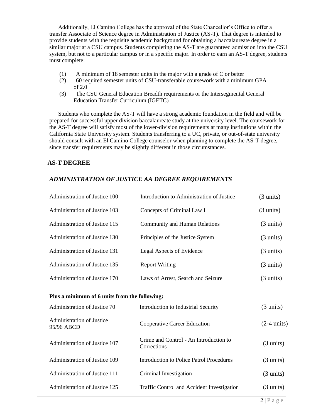Additionally, El Camino College has the approval of the State Chancellor's Office to offer a transfer Associate of Science degree in Administration of Justice (AS-T). That degree is intended to provide students with the requisite academic background for obtaining a baccalaureate degree in a similar major at a CSU campus. Students completing the AS-T are guaranteed admission into the CSU system, but not to a particular campus or in a specific major. In order to earn an AS-T degree, students must complete:

- (1) A minimum of 18 semester units in the major with a grade of C or better
- (2) 60 required semester units of CSU-transferable coursework with a minimum GPA of 2.0
- (3) The CSU General Education Breadth requirements or the Intersegmental General Education Transfer Curriculum (IGETC)

 Students who complete the AS-T will have a strong academic foundation in the field and will be prepared for successful upper division baccalaureate study at the university level. The coursework for the AS-T degree will satisfy most of the lower-division requirements at many institutions within the California State University system. Students transferring to a UC, private, or out-of-state university should consult with an El Camino College counselor when planning to complete the AS-T degree, since transfer requirements may be slightly different in those circumstances.

### <span id="page-3-0"></span>**AS-T DEGREE**

## <span id="page-3-1"></span>*ADMINISTRATION OF JUSTICE AA DEGREE REQUIREMENTS*

| Administration of Justice 100                 | Introduction to Administration of Justice             | $(3 \text{ units})$   |
|-----------------------------------------------|-------------------------------------------------------|-----------------------|
| Administration of Justice 103                 | Concepts of Criminal Law I                            | $(3 \text{ units})$   |
| Administration of Justice 115                 | <b>Community and Human Relations</b>                  | $(3 \text{ units})$   |
| Administration of Justice 130                 | Principles of the Justice System                      | $(3 \text{ units})$   |
| Administration of Justice 131                 | Legal Aspects of Evidence                             | $(3 \text{ units})$   |
| Administration of Justice 135                 | <b>Report Writing</b>                                 | $(3 \text{ units})$   |
| Administration of Justice 170                 | Laws of Arrest, Search and Seizure                    | $(3 \text{ units})$   |
| Plus a minimum of 6 units from the following: |                                                       |                       |
| Administration of Justice 70                  | Introduction to Industrial Security                   | $(3 \text{ units})$   |
| Administration of Justice<br>95/96 ABCD       | <b>Cooperative Career Education</b>                   | $(2-4 \text{ units})$ |
| Administration of Justice 107                 | Crime and Control - An Introduction to<br>Corrections | $(3 \text{ units})$   |
| Administration of Justice 109                 | <b>Introduction to Police Patrol Procedures</b>       | $(3 \text{ units})$   |
| Administration of Justice 111                 | Criminal Investigation                                | $(3 \text{ units})$   |
| Administration of Justice 125                 | Traffic Control and Accident Investigation            | $(3 \text{ units})$   |
|                                               |                                                       |                       |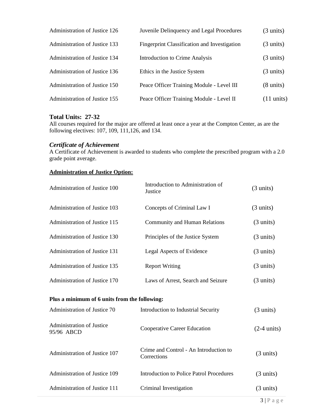| Administration of Justice 126 | Juvenile Delinquency and Legal Procedures           | $(3 \text{ units})$  |
|-------------------------------|-----------------------------------------------------|----------------------|
| Administration of Justice 133 | <b>Fingerprint Classification and Investigation</b> | $(3 \text{ units})$  |
| Administration of Justice 134 | <b>Introduction to Crime Analysis</b>               | $(3 \text{ units})$  |
| Administration of Justice 136 | Ethics in the Justice System                        | $(3 \text{ units})$  |
| Administration of Justice 150 | Peace Officer Training Module - Level III           | $(8 \text{ units})$  |
| Administration of Justice 155 | Peace Officer Training Module - Level II            | $(11 \text{ units})$ |

## **Total Units: 27-32**

All courses required for the major are offered at least once a year at the Compton Center, as are the following electives: 107, 109, 111,126, and 134.

#### <span id="page-4-0"></span>*Certificate of Achievement*

A Certificate of Achievement is awarded to students who complete the prescribed program with a 2.0 grade point average.

### **Administration of Justice Option:**

| Administration of Justice 100 | Introduction to Administration of<br>Justice | $(3 \text{ units})$ |
|-------------------------------|----------------------------------------------|---------------------|
| Administration of Justice 103 | Concepts of Criminal Law I                   | $(3 \text{ units})$ |
| Administration of Justice 115 | <b>Community and Human Relations</b>         | $(3 \text{ units})$ |
| Administration of Justice 130 | Principles of the Justice System             | $(3 \text{ units})$ |
| Administration of Justice 131 | Legal Aspects of Evidence                    | $(3 \text{ units})$ |
| Administration of Justice 135 | <b>Report Writing</b>                        | $(3 \text{ units})$ |
| Administration of Justice 170 | Laws of Arrest, Search and Seizure           | $(3 \text{ units})$ |
|                               |                                              |                     |

#### **Plus a minimum of 6 units from the following:**

| Administration of Justice 70            | Introduction to Industrial Security                   | $(3 \text{ units})$   |
|-----------------------------------------|-------------------------------------------------------|-----------------------|
| Administration of Justice<br>95/96 ABCD | Cooperative Career Education                          | $(2-4 \text{ units})$ |
| Administration of Justice 107           | Crime and Control - An Introduction to<br>Corrections | $(3 \text{ units})$   |
| Administration of Justice 109           | Introduction to Police Patrol Procedures              | $(3 \text{ units})$   |
| Administration of Justice 111           | Criminal Investigation                                | $(3 \text{ units})$   |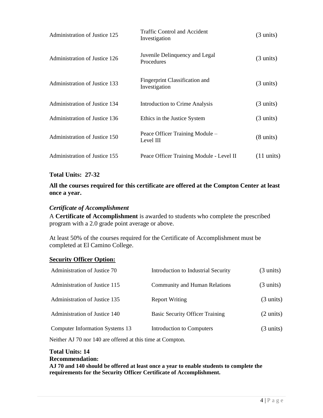| Administration of Justice 125 | Traffic Control and Accident<br>Investigation   | $(3 \text{ units})$  |
|-------------------------------|-------------------------------------------------|----------------------|
| Administration of Justice 126 | Juvenile Delinquency and Legal<br>Procedures    | $(3 \text{ units})$  |
| Administration of Justice 133 | Fingerprint Classification and<br>Investigation | $(3 \text{ units})$  |
| Administration of Justice 134 | Introduction to Crime Analysis                  | $(3 \text{ units})$  |
| Administration of Justice 136 | Ethics in the Justice System                    | $(3 \text{ units})$  |
| Administration of Justice 150 | Peace Officer Training Module –<br>Level III    | $(8 \text{ units})$  |
| Administration of Justice 155 | Peace Officer Training Module - Level II        | $(11 \text{ units})$ |

### **Total Units: 27-32**

## **All the courses required for this certificate are offered at the Compton Center at least once a year.**

#### <span id="page-5-0"></span>*Certificate of Accomplishment*

A **Certificate of Accomplishment** is awarded to students who complete the prescribed program with a 2.0 grade point average or above.

At least 50% of the courses required for the Certificate of Accomplishment must be completed at El Camino College.

#### **Security Officer Option:**

| Administration of Justice 70    | Introduction to Industrial Security    | $(3 \text{ units})$ |
|---------------------------------|----------------------------------------|---------------------|
| Administration of Justice 115   | <b>Community and Human Relations</b>   | $(3 \text{ units})$ |
| Administration of Justice 135   | <b>Report Writing</b>                  | $(3 \text{ units})$ |
| Administration of Justice 140   | <b>Basic Security Officer Training</b> | $(2 \text{ units})$ |
| Computer Information Systems 13 | Introduction to Computers              | $(3 \text{ units})$ |

Neither AJ 70 nor 140 are offered at this time at Compton.

#### **Total Units: 14 Recommendation: AJ 70 and 140 should be offered at least once a year to enable students to complete the requirements for the Security Officer Certificate of Accomplishment.**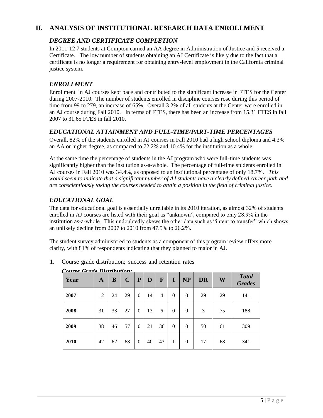## <span id="page-6-1"></span><span id="page-6-0"></span>**II. ANALYSIS OF INSTITUTIONAL RESEARCH DATA ENROLLMENT**

## *DEGREE AND CERTIFICATE COMPLETION*

In 2011-12 7 students at Compton earned an AA degree in Administration of Justice and 5 received a Certificate. The low number of students obtaining an AJ Certificate is likely due to the fact that a certificate is no longer a requirement for obtaining entry-level employment in the California criminal justice system.

## <span id="page-6-2"></span>*ENROLLMENT*

Enrollment in AJ courses kept pace and contributed to the significant increase in FTES for the Center during 2007-2010. The number of students enrolled in discipline courses rose during this period of time from 99 to 279, an increase of 65%. Overall 3.2% of all students at the Center were enrolled in an AJ course during Fall 2010*.* In terms of FTES, there has been an increase from 15.31 FTES in fall 2007 to 31.65 FTES in fall 2010.

## <span id="page-6-3"></span>*EDUCATIONAL ATTAINMENT AND FULL-TIME/PART-TIME PERCENTAGES*

Overall, 82% of the students enrolled in AJ courses in Fall 2010 had a high school diploma and 4.3% an AA or higher degree, as compared to 72.2% and 10.4% for the institution as a whole.

At the same time the percentage of students in the AJ program who were full-time students was significantly higher than the institution as-a-whole. The percentage of full-time students enrolled in AJ courses in Fall 2010 was 34.4%, as opposed to an institutional percentage of only 18.7%. *This would seem to indicate that a significant number of AJ students have a clearly defined career path and are conscientiously taking the courses needed to attain a position in the field of criminal justice.*

## <span id="page-6-4"></span>*EDUCATIONAL GOAL*

The data for educational goal is essentially unreliable in its 2010 iteration, as almost 32% of students enrolled in AJ courses are listed with their goal as "unknown", compared to only 28.9% in the institution as-a-whole. This undoubtedly skews the other data such as "intent to transfer" which shows an unlikely decline from 2007 to 2010 from 47.5% to 26.2%.

The student survey administered to students as a component of this program review offers more clarity, with 81% of respondents indicating that they planned to major in AJ.

| Course Grade Distribution. |    |    |             |          |    |    |          |           |           |    |                               |  |  |
|----------------------------|----|----|-------------|----------|----|----|----------|-----------|-----------|----|-------------------------------|--|--|
| Year                       | A  | B  | $\mathbf C$ | P        | D  | F  | I        | <b>NP</b> | <b>DR</b> | W  | <b>Total</b><br><b>Grades</b> |  |  |
| 2007                       | 12 | 24 | 29          | $\Omega$ | 14 | 4  | $\theta$ | $\Omega$  | 29        | 29 | 141                           |  |  |
| 2008                       | 31 | 33 | 27          | $\theta$ | 13 | 6  | $\theta$ | $\Omega$  | 3         | 75 | 188                           |  |  |
| 2009                       | 38 | 46 | 57          | $\Omega$ | 21 | 36 | $\theta$ | $\theta$  | 50        | 61 | 309                           |  |  |
| 2010                       | 42 | 62 | 68          | $\Omega$ | 40 | 43 | 1        | $\Omega$  | 17        | 68 | 341                           |  |  |

1. Course grade distribution; success and retention rates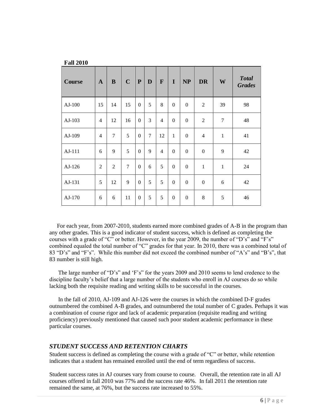| <b>Course</b> | $\mathbf{A}$   | $\bf{B}$       | $\mathbf C$    | $\mathbf{P}$     | D              | $\mathbf{F}$   | $\mathbf I$      | NP               | <b>DR</b>        | W              | <b>Total</b><br><b>Grades</b> |
|---------------|----------------|----------------|----------------|------------------|----------------|----------------|------------------|------------------|------------------|----------------|-------------------------------|
| $AJ-100$      | 15             | 14             | 15             | $\Omega$         | 5              | 8              | $\boldsymbol{0}$ | $\boldsymbol{0}$ | $\overline{2}$   | 39             | 98                            |
| AJ-103        | $\overline{4}$ | 12             | 16             | $\Omega$         | 3              | $\overline{4}$ | $\Omega$         | $\Omega$         | $\overline{2}$   | $\overline{7}$ | 48                            |
| AJ-109        | $\overline{4}$ | $\overline{7}$ | 5              | $\Omega$         | $\overline{7}$ | 12             | $\mathbf{1}$     | $\Omega$         | $\overline{4}$   | $\mathbf{1}$   | 41                            |
| AJ-111        | 6              | 9              | 5              | $\Omega$         | 9              | $\overline{4}$ | $\mathbf{0}$     | $\Omega$         | $\boldsymbol{0}$ | 9              | 42                            |
| AJ-126        | 2              | 2              | $\overline{7}$ | $\Omega$         | 6              | 5              | $\Omega$         | $\Omega$         | $\mathbf{1}$     | $\mathbf{1}$   | 24                            |
| AJ-131        | 5              | 12             | 9              | $\Omega$         | 5              | 5              | $\boldsymbol{0}$ | $\Omega$         | $\boldsymbol{0}$ | 6              | 42                            |
| AJ-170        | 6              | 6              | 11             | $\boldsymbol{0}$ | 5              | 5              | $\boldsymbol{0}$ | $\overline{0}$   | $\,8\,$          | 5              | 46                            |

For each year, from 2007-2010, students earned more combined grades of A-B in the program than any other grades. This is a good indicator of student success, which is defined as completing the courses with a grade of "C" or better. However, in the year 2009, the number of "D's" and "F's" combined equaled the total number of "C" grades for that year. In 2010, there was a combined total of 83 "D's" and "F's". While this number did not exceed the combined number of "A's" and "B's", that 83 number is still high.

 The large number of "D's" and 'F's" for the years 2009 and 2010 seems to lend credence to the discipline faculty's belief that a large number of the students who enroll in AJ courses do so while lacking both the requisite reading and writing skills to be successful in the courses.

 In the fall of 2010, AJ-109 and AJ-126 were the courses in which the combined D-F grades outnumbered the combined A-B grades, and outnumbered the total number of C grades. Perhaps it was a combination of course rigor and lack of academic preparation (requisite reading and writing proficiency) previously mentioned that caused such poor student academic performance in these particular courses.

## <span id="page-7-0"></span>*STUDENT SUCCESS AND RETENTION CHARTS*

**Fall 2010**

Student success is defined as completing the course with a grade of "C" or better, while retention indicates that a student has remained enrolled until the end of term regardless of success.

Student success rates in AJ courses vary from course to course. Overall, the retention rate in all AJ courses offered in fall 2010 was 77% and the success rate 46%. In fall 2011 the retention rate remained the same, at 76%, but the success rate increased to 55%.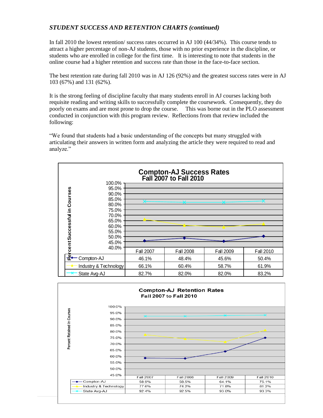## <span id="page-8-0"></span>*STUDENT SUCCESS AND RETENTION CHARTS (continued)*

In fall 2010 the lowest retention/ success rates occurred in AJ 100 (44/34%). This course tends to attract a higher percentage of non-AJ students, those with no prior experience in the discipline, or students who are enrolled in college for the first time. It is interesting to note that students in the online course had a higher retention and success rate than those in the face-to-face section.

The best retention rate during fall 2010 was in AJ 126 (92%) and the greatest success rates were in AJ 103 (67%) and 131 (62%).

It is the strong feeling of discipline faculty that many students enroll in AJ courses lacking both requisite reading and writing skills to successfully complete the coursework. Consequently, they do poorly on exams and are most prone to drop the course. This was borne out in the PLO assessment conducted in conjunction with this program review. Reflections from that review included the following:

"We found that students had a basic understanding of the concepts but many struggled with articulating their answers in written form and analyzing the article they were required to read and analyze."



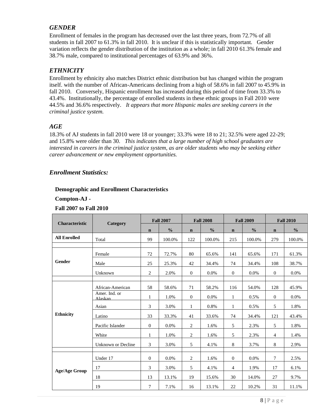## <span id="page-9-0"></span>*GENDER*

Enrollment of females in the program has decreased over the last three years, from 72.7% of all students in fall 2007 to 61.3% in fall 2010. It is unclear if this is statistically important. Gender variation reflects the gender distribution of the institution as a whole; in fall 2010 61.3% female and 38.7% male, compared to institutional percentages of 63.9% and 36%.

## <span id="page-9-1"></span>*ETHNICITY*

Enrollment by ethnicity also matches District ethnic distribution but has changed within the program itself. with the number of African-Americans declining from a high of 58.6% in fall 2007 to 45.9% in fall 2010. Conversely, Hispanic enrollment has increased during this period of time from 33.3% to 43.4%. Institutionally, the percentage of enrolled students in these ethnic groups in Fall 2010 were 44.5% and 36.6% respectively*. It appears that more Hispanic males are seeking careers in the criminal justice system.*

### <span id="page-9-2"></span>*AGE*

18.3% of AJ students in fall 2010 were 18 or younger; 33.3% were 18 to 21; 32.5% were aged 22-29; and 15.8% were older than 30. *This indicates that a large number of high school graduates are interested in careers in the criminal justice system, as are older students who may be seeking either career advancement or new employment opportunities.*

### <span id="page-9-3"></span>*Enrollment Statistics:*

#### **Demographic and Enrollment Characteristics**

**Compton-AJ -**

#### **Fall 2007 to Fall 2010**

| <b>Characteristic</b> | Category                 | <b>Fall 2007</b> |               |                | <b>Fall 2008</b> |                | <b>Fall 2009</b> | <b>Fall 2010</b> |               |
|-----------------------|--------------------------|------------------|---------------|----------------|------------------|----------------|------------------|------------------|---------------|
|                       |                          | $\mathbf n$      | $\frac{0}{0}$ | $\mathbf n$    | $\frac{0}{0}$    | $\mathbf n$    | $\frac{0}{0}$    | $\mathbf n$      | $\frac{0}{0}$ |
| <b>All Enrolled</b>   | Total                    | 99               | 100.0%        | 122            | 100.0%           | 215            | 100.0%           | 279              | 100.0%        |
|                       |                          |                  |               |                |                  |                |                  |                  |               |
|                       | Female                   | 72               | 72.7%         | 80             | 65.6%            | 141            | 65.6%            | 171              | 61.3%         |
| <b>Gender</b>         | Male                     | 25               | 25.3%         | 42             | 34.4%            | 74             | 34.4%            | 108              | 38.7%         |
|                       | Unknown                  | $\overline{c}$   | 2.0%          | $\mathbf{0}$   | 0.0%             | $\overline{0}$ | $0.0\%$          | $\overline{0}$   | 0.0%          |
|                       |                          |                  |               |                |                  |                |                  |                  |               |
|                       | African-American         | 58               | 58.6%         | 71             | 58.2%            | 116            | 54.0%            | 128              | 45.9%         |
|                       | Amer. Ind. or<br>Alaskan | $\mathbf{1}$     | 1.0%          | $\Omega$       | $0.0\%$          | $\mathbf{1}$   | 0.5%             | $\Omega$         | $0.0\%$       |
|                       | Asian                    | 3                | 3.0%          | $\mathbf{1}$   | 0.8%             | $\mathbf{1}$   | 0.5%             | 5                | 1.8%          |
| <b>Ethnicity</b>      | Latino                   | 33               | 33.3%         | 41             | 33.6%            | 74             | 34.4%            | 121              | 43.4%         |
|                       | Pacific Islander         | $\boldsymbol{0}$ | 0.0%          | $\overline{2}$ | 1.6%             | 5              | 2.3%             | 5                | 1.8%          |
|                       | White                    | $\mathbf{1}$     | 1.0%          | $\mathbf{2}$   | 1.6%             | 5              | 2.3%             | $\overline{4}$   | 1.4%          |
|                       | Unknown or Decline       | 3                | 3.0%          | 5              | 4.1%             | 8              | 3.7%             | 8                | 2.9%          |
|                       |                          |                  |               |                |                  |                |                  |                  |               |
|                       | Under 17                 | $\mathbf{0}$     | 0.0%          | 2              | 1.6%             | $\Omega$       | $0.0\%$          | $\tau$           | 2.5%          |
| <b>Age/Age Group</b>  | 17                       | 3                | 3.0%          | 5              | 4.1%             | $\overline{4}$ | 1.9%             | 17               | 6.1%          |
|                       | 18                       | 13               | 13.1%         | 19             | 15.6%            | 30             | 14.0%            | 27               | 9.7%          |
|                       | 19                       | $\tau$           | 7.1%          | 16             | 13.1%            | 22             | 10.2%            | 31               | 11.1%         |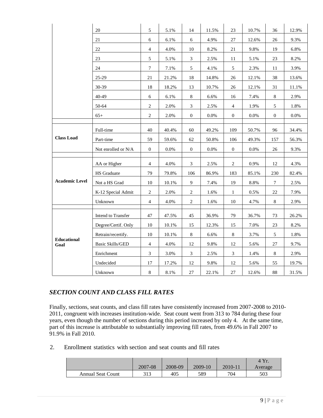|                       | 20                      | 5                           | 5.1%    | 14               | 11.5%   | 23               | 10.7%   | 36             | 12.9%   |
|-----------------------|-------------------------|-----------------------------|---------|------------------|---------|------------------|---------|----------------|---------|
|                       | 21                      | 6                           | 6.1%    | $6\,$            | 4.9%    | 27               | 12.6%   | 26             | 9.3%    |
|                       | 22                      | $\overline{4}$              | 4.0%    | $10\,$           | 8.2%    | 21               | 9.8%    | 19             | 6.8%    |
|                       | 23                      | $\sqrt{5}$                  | 5.1%    | $\mathfrak{Z}$   | 2.5%    | 11               | 5.1%    | 23             | 8.2%    |
|                       | 24                      | $\boldsymbol{7}$            | 7.1%    | $5\phantom{.0}$  | 4.1%    | $\mathfrak{S}$   | 2.3%    | 11             | 3.9%    |
|                       | 25-29                   | 21                          | 21.2%   | 18               | 14.8%   | 26               | 12.1%   | 38             | 13.6%   |
|                       | 30-39                   | 18                          | 18.2%   | 13               | 10.7%   | 26               | 12.1%   | 31             | 11.1%   |
|                       | 40-49                   | 6                           | 6.1%    | $8\,$            | 6.6%    | 16               | 7.4%    | $8\,$          | 2.9%    |
|                       | 50-64                   | $\overline{c}$              | 2.0%    | $\mathfrak{Z}$   | 2.5%    | $\overline{4}$   | 1.9%    | 5              | 1.8%    |
|                       | $65+$                   | $\sqrt{2}$                  | 2.0%    | $\mathbf{0}$     | $0.0\%$ | $\mathbf{0}$     | 0.0%    | $\overline{0}$ | $0.0\%$ |
|                       |                         |                             |         |                  |         |                  |         |                |         |
| <b>Class Load</b>     | Full-time               | 40                          | 40.4%   | 60               | 49.2%   | 109              | 50.7%   | 96             | 34.4%   |
|                       | Part-time               | 59                          | 59.6%   | 62               | 50.8%   | 106              | 49.3%   | 157            | 56.3%   |
|                       | Not enrolled or N/A     | $\mathbf{0}$                | $0.0\%$ | $\boldsymbol{0}$ | $0.0\%$ | $\boldsymbol{0}$ | $0.0\%$ | 26             | 9.3%    |
|                       | AA or Higher            | $\overline{4}$              | 4.0%    | $\mathfrak{Z}$   | 2.5%    | $\overline{2}$   | 0.9%    | 12             | 4.3%    |
|                       | HS Graduate             | 79                          | 79.8%   | 106              | 86.9%   | 183              | 85.1%   | 230            | 82.4%   |
| <b>Academic Level</b> | Not a HS Grad           | $10\,$                      | 10.1%   | 9                | 7.4%    | 19               | 8.8%    | $\tau$         | 2.5%    |
|                       | K-12 Special Admit      | $\overline{c}$              | 2.0%    | $\overline{2}$   | 1.6%    | $\mathbf{1}$     | 0.5%    | 22             | 7.9%    |
|                       | Unknown                 | $\overline{4}$              | 4.0%    | 2                | 1.6%    | 10               | 4.7%    | $8\,$          | 2.9%    |
|                       | Intend to Transfer      | 47                          | 47.5%   | 45               | 36.9%   | 79               | 36.7%   | 73             | 26.2%   |
| Educational           | Degree/Certif. Only     | $10\,$                      | 10.1%   | 15               | 12.3%   | 15               | 7.0%    | 23             | 8.2%    |
|                       | Retrain/recertify.      | $10\,$                      | 10.1%   | $8\,$            | 6.6%    | $8\,$            | 3.7%    | 5              | 1.8%    |
|                       | <b>Basic Skills/GED</b> | $\overline{4}$              | 4.0%    | 12               | 9.8%    | 12               | 5.6%    | $27\,$         | 9.7%    |
| Goal                  | Enrichment              | $\ensuremath{\mathfrak{Z}}$ | 3.0%    | $\mathfrak{Z}$   | 2.5%    | $\mathfrak{Z}$   | 1.4%    | $8\,$          | 2.9%    |
|                       | Undecided               | $17\,$                      | 17.2%   | 12               | 9.8%    | 12               | 5.6%    | 55             | 19.7%   |
|                       | Unknown                 | $8\,$                       | 8.1%    | $27\,$           | 22.1%   | $27\,$           | 12.6%   | 88             | 31.5%   |

## <span id="page-10-0"></span>*SECTION COUNT AND CLASS FILL RATES*

Finally, sections, seat counts, and class fill rates have consistently increased from 2007-2008 to 2010- 2011, congruent with increases institution-wide. Seat count went from 313 to 784 during these four years, even though the number of sections during this period increased by only 4. At the same time, part of this increase is attributable to substantially improving fill rates, from 49.6% in Fall 2007 to 91.9% in Fall 2010.

2. Enrollment statistics with section and seat counts and fill rates

|                          |         |         |         |         | $4 \, \mathrm{Yr}$ |
|--------------------------|---------|---------|---------|---------|--------------------|
|                          | 2007-08 | 2008-09 | 2009-10 | 2010-11 | Average            |
| <b>Annual Seat Count</b> | 313     | 405     | 589     | 704     | 503                |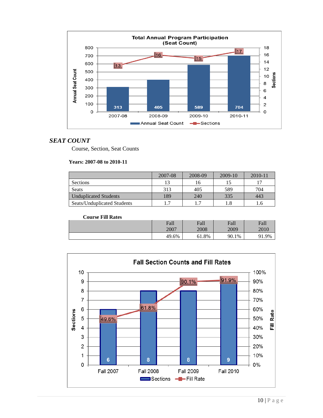

#### <span id="page-11-0"></span>*SEAT COUNT*

Course, Section, Seat Counts

#### **Years: 2007-08 to 2010-11**

|                              | 2007-08 | 2008-09 | 2009-10 | $2010 - 11$ |
|------------------------------|---------|---------|---------|-------------|
| Sections                     | 13      | 16      |         |             |
| Seats                        | 313     | 405     | 589     | 704         |
| <b>Unduplicated Students</b> | 189     | 240     | 335     | 443         |
| Seats/Unduplicated Students  | . 7     |         | 1.8     | 1.6         |

#### **Course Fill Rates**

| Fall  | Fall  | Fall  | Fall |
|-------|-------|-------|------|
| 2007  | 2008  | 2009  | 2010 |
| 49.6% | 61.8% | 90.1% |      |

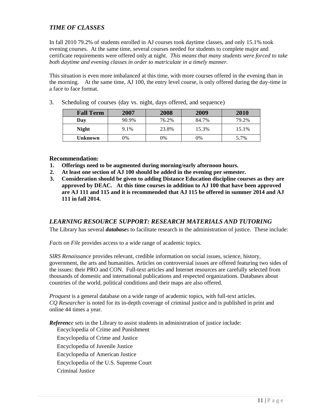## <span id="page-12-0"></span>*TIME OF CLASSES*

In fall 2010 79.2% of students enrolled in AJ courses took daytime classes, and only 15.1% took evening courses. At the same time, several courses needed for students to complete major and certificate requirements were offered only at night. *This means that many students were forced to take both daytime and evening classes in order to matriculate in a timely manner.*

This situation is even more imbalanced at this time, with more courses offered in the evening than in the morning. At the same time, AJ 100, the entry level course, is only offered during the day-time in a face to face format.

| <b>Fall Term</b> | 2007  | 2008  | 2009  | 2010  |
|------------------|-------|-------|-------|-------|
| Day              | 90.9% | 76.2% | 84.7% | 79.2% |
| <b>Night</b>     | 9.1%  | 23.8% | 15.3% | 15.1% |
| Unknown          | 0%    | 0%    | 0%    | 5.7%  |

3. Scheduling of courses (day vs. night, days offered, and sequence)

#### **Recommendation:**

- **1. Offerings need to be augmented during morning/early afternoon hours.**
- **2. At least one section of AJ 100 should be added in the evening per semester.**
- **3. Consideration should be given to adding Distance Education discipline courses as they are approved by DEAC. At this time courses in addition to AJ 100 that have been approved are AJ 111 and 115 and it is recommended that AJ 115 be offered in summer 2014 and AJ 111 in fall 2014.**

#### <span id="page-12-1"></span>*LEARNING RESOURCE SUPPORT: RESEARCH MATERIALS AND TUTORING*

The Library has several *databases* to facilitate research in the administration of justice. These include:

*Facts on File* provides access to a wide range of academic topics.

*SIRS Renaissance* provides relevant, credible information on social issues, science, history, government, the arts and humanities. Articles on controversial issues are offered featuring two sides of the issues: their PRO and CON. Full-text articles and Internet resources are carefully selected from thousands of domestic and international publications and respected organizations. Databases about countries of the world, political conditions and their maps are also offered.

*Proquest* is a general database on a wide range of academic topics, with full-text articles. *CQ Researcher* is noted for its in-depth coverage of criminal justice and is published in print and online 44 times a year.

*Reference sets* in the Library to assist students in administration of justice include: Encyclopedia of Crime and Punishment Encyclopedia of Crime and Justice Encyclopedia of Juvenile Justice Encyclopedia of American Justice Encyclopedia of the U.S. Supreme Court Criminal Justice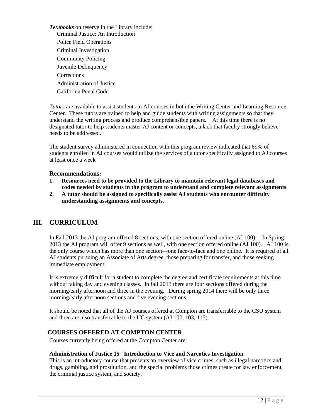*Textbooks* on reserve in the Library include: Criminal Justice: An Introduction Police Field Operations Criminal Investigation Community Policing Juvenile Delinquency **Corrections** Administration of Justice California Penal Code

*Tutors* are available to assist students in AJ courses in both the Writing Center and Learning Resource Center. These tutors are trained to help and guide students with writing assignments so that they understand the writing process and produce comprehensible papers. At this time there is no designated tutor to help students master AJ content or concepts, a lack that faculty strongly believe needs to be addressed.

The student survey administered in connection with this program review indicated that 69% of students enrolled in AJ courses would utilize the services of a tutor specifically assigned to AJ courses at least once a week

#### **Recommendations:**

- **1. Resources need to be provided to the Library to maintain relevant legal databases and codes needed by students in the program to understand and complete relevant assignments**.
- **2. A tutor should be assigned to specifically assist AJ students who encounter difficulty understanding assignments and concepts***.*

## <span id="page-13-0"></span>**III. CURRICULUM**

In Fall 2013 the AJ program offered 8 sections, with one section offered online (AJ 100). In Spring 2013 the AJ program will offer 9 sections as well, with one section offered online (AJ 100). AJ 100 is the only course which has more than one section—one face-to-face and one online. It is required of all AJ students pursuing an Associate of Arts degree, those preparing for transfer, and those seeking immediate employment.

It is extremely difficult for a student to complete the degree and certificate requirements at this time without taking day and evening classes. In fall 2013 there are four sections offered during the morning/early afternoon and three in the evening. During spring 2014 there will be only three morning/early afternoon sections and five evening sections.

It should be noted that all of the AJ courses offered at Compton are transferrable to the CSU system and three are also transferrable to the UC system (AJ 100, 103, 115).

#### <span id="page-13-1"></span>**COURSES OFFERED AT COMPTON CENTER**

Courses currently being offered at the Compton Center are:

#### **Administration of Justice 15 Introduction to Vice and Narcotics Investigation**

This is an introductory course that presents an overview of vice crimes, such as illegal narcotics and drugs, gambling, and prostitution, and the special problems those crimes create for law enforcement, the criminal justice system, and society.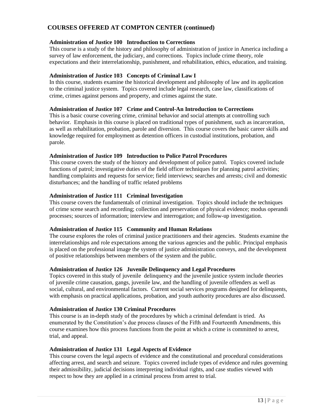## <span id="page-14-0"></span>**COURSES OFFERED AT COMPTON CENTER (continued)**

#### **Administration of Justice 100 Introduction to Corrections**

This course is a study of the history and philosophy of administration of justice in America including a survey of law enforcement, the judiciary, and corrections. Topics include crime theory, role expectations and their interrelationship, punishment, and rehabilitation, ethics, education, and training.

#### **Administration of Justice 103 Concepts of Criminal Law I**

In this course, students examine the historical development and philosophy of law and its application to the criminal justice system. Topics covered include legal research, case law, classifications of crime, crimes against persons and property, and crimes against the state.

#### **Administration of Justice 107 Crime and Control-An Introduction to Corrections**

This is a basic course covering crime, criminal behavior and social attempts at controlling such behavior. Emphasis in this course is placed on traditional types of punishment, such as incarceration, as well as rehabilitation, probation, parole and diversion. This course covers the basic career skills and knowledge required for employment as detention officers in custodial institutions, probation, and parole.

#### **Administration of Justice 109 Introduction to Police Patrol Procedures**

This course covers the study of the history and development of police patrol. Topics covered include functions of patrol; investigative duties of the field officer techniques for planning patrol activities; handling complaints and requests for service; field interviews; searches and arrests; civil and domestic disturbances; and the handling of traffic related problems

#### **Administration of Justice 111 Criminal Investigation**

This course covers the fundamentals of criminal investigation. Topics should include the techniques of crime scene search and recording; collection and preservation of physical evidence; modus operandi processes; sources of information; interview and interrogation; and follow-up investigation.

#### **Administration of Justice 115 Community and Human Relations**

The course explores the roles of criminal justice practitioners and their agencies. Students examine the interrelationships and role expectations among the various agencies and the public. Principal emphasis is placed on the professional image the system of justice administration conveys, and the development of positive relationships between members of the system and the public.

#### **Administration of Justice 126 Juvenile Delinquency and Legal Procedures**

Topics covered in this study of juvenile delinquency and the juvenile justice system include theories of juvenile crime causation, gangs, juvenile law, and the handling of juvenile offenders as well as social, cultural, and environmental factors. Current social services programs designed for delinquents, with emphasis on practical applications, probation, and youth authority procedures are also discussed.

#### **Administration of Justice 130 Criminal Procedures**

This course is an in-depth study of the procedures by which a criminal defendant is tried. As enumerated by the Constitution's due process clauses of the Fifth and Fourteenth Amendments, this course examines how this process functions from the point at which a crime is committed to arrest, trial, and appeal.

#### **Administration of Justice 131 Legal Aspects of Evidence**

This course covers the legal aspects of evidence and the constitutional and procedural considerations affecting arrest, and search and seizure. Topics covered include types of evidence and rules governing their admissibility, judicial decisions interpreting individual rights, and case studies viewed with respect to how they are applied in a criminal process from arrest to trial.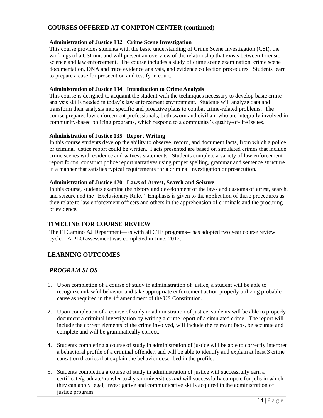## <span id="page-15-0"></span>**COURSES OFFERED AT COMPTON CENTER (continued)**

#### **Administration of Justice 132 Crime Scene Investigation**

This course provides students with the basic understanding of Crime Scene Investigation (CSI), the workings of a CSI unit and will present an overview of the relationship that exists between forensic science and law enforcement. The course includes a study of crime scene examination, crime scene documentation, DNA and trace evidence analysis, and evidence collection procedures. Students learn to prepare a case for prosecution and testify in court.

#### **Administration of Justice 134 Introduction to Crime Analysis**

This course is designed to acquaint the student with the techniques necessary to develop basic crime analysis skills needed in today's law enforcement environment. Students will analyze data and transform their analysis into specific and proactive plans to combat crime-related problems. The course prepares law enforcement professionals, both sworn and civilian, who are integrally involved in community-based policing programs, which respond to a community's quality-of-life issues.

#### **Administration of Justice 135 Report Writing**

In this course students develop the ability to observe, record, and document facts, from which a police or criminal justice report could be written. Facts presented are based on simulated crimes that include crime scenes with evidence and witness statements. Students complete a variety of law enforcement report forms, construct police report narratives using proper spelling, grammar and sentence structure in a manner that satisfies typical requirements for a criminal investigation or prosecution.

#### **Administration of Justice 170 Laws of Arrest, Search and Seizure**

In this course, students examine the history and development of the laws and customs of arrest, search, and seizure and the "Exclusionary Rule." Emphasis is given to the application of these procedures as they relate to law enforcement officers and others in the apprehension of criminals and the procuring of evidence.

## <span id="page-15-1"></span>**TIMELINE FOR COURSE REVIEW**

The El Camino AJ Department—as with all CTE programs-- has adopted two year course review cycle. A PLO assessment was completed in June, 2012.

## <span id="page-15-2"></span>**LEARNING OUTCOMES**

## <span id="page-15-3"></span>*PROGRAM SLOS*

- 1. Upon completion of a course of study in administration of justice, a student will be able to recognize unlawful behavior and take appropriate enforcement action properly utilizing probable cause as required in the  $4<sup>th</sup>$  amendment of the US Constitution.
- 2. Upon completion of a course of study in administration of justice, students will be able to properly document a criminal investigation by writing a crime report of a simulated crime. The report will include the correct elements of the crime involved, will include the relevant facts, be accurate and complete and will be grammatically correct.
- 4. Students completing a course of study in administration of justice will be able to correctly interpret a behavioral profile of a criminal offender, and will be able to identify and explain at least 3 crime causation theories that explain the behavior described in the profile.
- 5. Students completing a course of study in administration of justice will successfully earn a certificate/graduate/transfer to 4 year universities *and* will successfully compete for jobs in which they can apply legal, investigative and communicative skills acquired in the administration of justice program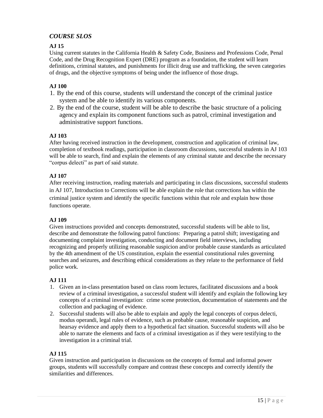## <span id="page-16-0"></span>*COURSE SLOS*

#### **AJ 15**

Using current statutes in the California Health & Safety Code, Business and Professions Code, Penal Code, and the Drug Recognition Expert (DRE) program as a foundation, the student will learn definitions, criminal statutes, and punishments for illicit drug use and trafficking, the seven categories of drugs, and the objective symptoms of being under the influence of those drugs.

### **AJ 100**

- 1. By the end of this course, students will understand the concept of the criminal justice system and be able to identify its various components.
- 2. By the end of the course, student will be able to describe the basic structure of a policing agency and explain its component functions such as patrol, criminal investigation and administrative support functions.

#### **AJ 103**

After having received instruction in the development, construction and application of criminal law, completion of textbook readings, participation in classroom discussions, successful students in AJ 103 will be able to search, find and explain the elements of any criminal statute and describe the necessary "corpus delecti" as part of said statute.

#### **AJ 107**

After receiving instruction, reading materials and participating in class discussions, successful students in AJ 107, Introduction to Corrections will be able explain the role that corrections has within the criminal justice system and identify the specific functions within that role and explain how those functions operate.

#### **AJ 109**

Given instructions provided and concepts demonstrated, successful students will be able to list, describe and demonstrate the following patrol functions: Preparing a patrol shift; investigating and documenting complaint investigation, conducting and document field interviews, including recognizing and properly utilizing reasonable suspicion and/or probable cause standards as articulated by the 4th amendment of the US constitution, explain the essential constitutional rules governing searches and seizures, and describing ethical considerations as they relate to the performance of field police work.

#### **AJ 111**

- 1. Given an in-class presentation based on class room lectures, facilitated discussions and a book review of a criminal investigation, a successful student will identify and explain the following key concepts of a criminal investigation: crime scene protection, documentation of statements and the collection and packaging of evidence.
- 2. Successful students will also be able to explain and apply the legal concepts of corpus delecti, modus operandi, legal rules of evidence, such as probable cause, reasonable suspicion, and hearsay evidence and apply them to a hypothetical fact situation. Successful students will also be able to narrate the elements and facts of a criminal investigation as if they were testifying to the investigation in a criminal trial.

#### **AJ 115**

Given instruction and participation in discussions on the concepts of formal and informal power groups, students will successfully compare and contrast these concepts and correctly identify the similarities and differences.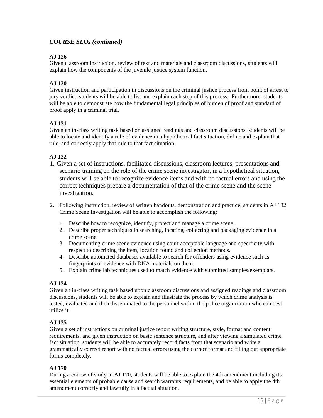## <span id="page-17-0"></span>*COURSE SLOs (continued)*

## **AJ 126**

Given classroom instruction, review of text and materials and classroom discussions, students will explain how the components of the juvenile justice system function.

#### **AJ 130**

Given instruction and participation in discussions on the criminal justice process from point of arrest to jury verdict, students will be able to list and explain each step of this process. Furthermore, students will be able to demonstrate how the fundamental legal principles of burden of proof and standard of proof apply in a criminal trial.

### **AJ 131**

Given an in-class writing task based on assigned readings and classroom discussions, students will be able to locate and identify a rule of evidence in a hypothetical fact situation, define and explain that rule, and correctly apply that rule to that fact situation.

### **AJ 132**

- 1. Given a set of instructions, facilitated discussions, classroom lectures, presentations and scenario training on the role of the crime scene investigator, in a hypothetical situation, students will be able to recognize evidence items and with no factual errors and using the correct techniques prepare a documentation of that of the crime scene and the scene investigation.
- 2. Following instruction, review of written handouts, demonstration and practice, students in AJ 132, Crime Scene Investigation will be able to accomplish the following:
	- 1. Describe how to recognize, identify, protect and manage a crime scene.
	- 2. Describe proper techniques in searching, locating, collecting and packaging evidence in a crime scene.
	- 3. Documenting crime scene evidence using court acceptable language and specificity with respect to describing the item, location found and collection methods.
	- 4. Describe automated databases available to search for offenders using evidence such as fingerprints or evidence with DNA materials on them.
	- 5. Explain crime lab techniques used to match evidence with submitted samples/exemplars.

#### **AJ 134**

Given an in-class writing task based upon classroom discussions and assigned readings and classroom discussions, students will be able to explain and illustrate the process by which crime analysis is tested, evaluated and then disseminated to the personnel within the police organization who can best utilize it.

#### **AJ 135**

Given a set of instructions on criminal justice report writing structure, style, format and content requirements, and given instruction on basic sentence structure, and after viewing a simulated crime fact situation, students will be able to accurately record facts from that scenario and write a grammatically correct report with no factual errors using the correct format and filling out appropriate forms completely.

#### **AJ 170**

During a course of study in AJ 170, students will be able to explain the 4th amendment including its essential elements of probable cause and search warrants requirements, and be able to apply the 4th amendment correctly and lawfully in a factual situation.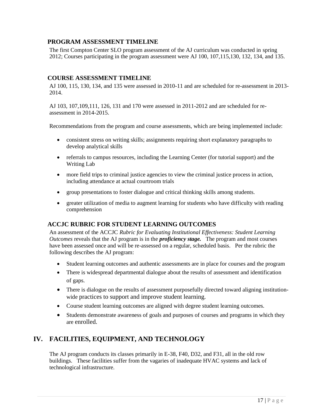### <span id="page-18-0"></span>**PROGRAM ASSESSMENT TIMELINE**

The first Compton Center SLO program assessment of the AJ curriculum was conducted in spring 2012; Courses participating in the program assessment were AJ 100, 107,115,130, 132, 134, and 135.

#### <span id="page-18-1"></span>**COURSE ASSESSMENT TIMELINE**

AJ 100, 115, 130, 134, and 135 were assessed in 2010-11 and are scheduled for re-assessment in 2013- 2014.

AJ 103, 107,109,111, 126, 131 and 170 were assessed in 2011-2012 and are scheduled for reassessment in 2014-2015.

Recommendations from the program and course assessments, which are being implemented include:

- consistent stress on writing skills; assignments requiring short explanatory paragraphs to develop analytical skills
- referrals to campus resources, including the Learning Center (for tutorial support) and the Writing Lab
- more field trips to criminal justice agencies to view the criminal justice process in action, including attendance at actual courtroom trials
- group presentations to foster dialogue and critical thinking skills among students.
- greater utilization of media to augment learning for students who have difficulty with reading comprehension

#### <span id="page-18-2"></span>**ACCJC RUBRIC FOR STUDENT LEARNING OUTCOMES**

An assessment of the ACCJC *Rubric for Evaluating Institutional Effectiveness: Student Learning Outcomes* reveals that the AJ program is in the *proficiency stage.* The program and most courses have been assessed once and will be re-assessed on a regular, scheduled basis. Per the rubric the following describes the AJ program:

- Student learning outcomes and authentic assessments are in place for courses and the program
- There is widespread departmental dialogue about the results of assessment and identification of gaps.
- There is dialogue on the results of assessment purposefully directed toward aligning institutionwide practices to support and improve student learning.
- Course student learning outcomes are aligned with degree student learning outcomes.
- Students demonstrate awareness of goals and purposes of courses and programs in which they are enrolled.

## <span id="page-18-3"></span>**IV. FACILITIES, EQUIPMENT, AND TECHNOLOGY**

The AJ program conducts its classes primarily in E-38, F40, D32, and F31, all in the old row buildings. These facilities suffer from the vagaries of inadequate HVAC systems and lack of technological infrastructure.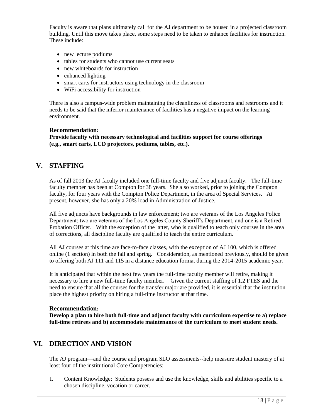Faculty is aware that plans ultimately call for the AJ department to be housed in a projected classroom building. Until this move takes place, some steps need to be taken to enhance facilities for instruction. These include:

- new lecture podiums
- tables for students who cannot use current seats
- new whiteboards for instruction
- enhanced lighting
- smart carts for instructors using technology in the classroom
- WiFi accessibility for instruction

There is also a campus-wide problem maintaining the cleanliness of classrooms and restrooms and it needs to be said that the inferior maintenance of facilities has a negative impact on the learning environment.

#### **Recommendation:**

**Provide faculty with necessary technological and facilities support for course offerings (e.g., smart carts, LCD projectors, podiums, tables, etc.).**

## <span id="page-19-0"></span>**V. STAFFING**

As of fall 2013 the AJ faculty included one full-time faculty and five adjunct faculty. The full-time faculty member has been at Compton for 38 years. She also worked, prior to joining the Compton faculty, for four years with the Compton Police Department, in the area of Special Services. At present, however, she has only a 20% load in Administration of Justice.

All five adjuncts have backgrounds in law enforcement; two are veterans of the Los Angeles Police Department; two are veterans of the Los Angeles County Sheriff's Department, and one is a Retired Probation Officer. With the exception of the latter, who is qualified to teach only courses in the area of corrections, all discipline faculty are qualified to teach the entire curriculum.

All AJ courses at this time are face-to-face classes, with the exception of AJ 100, which is offered online (1 section) in both the fall and spring. Consideration, as mentioned previously, should be given to offering both AJ 111 and 115 in a distance education format during the 2014-2015 academic year.

It is anticipated that within the next few years the full-time faculty member will retire, making it necessary to hire a new full-time faculty member. Given the current staffing of 1.2 FTES and the need to ensure that all the courses for the transfer major are provided, it is essential that the institution place the highest priority on hiring a full-time instructor at that time.

#### **Recommendation:**

**Develop a plan to hire both full-time and adjunct faculty with curriculum expertise to a) replace full-time retirees and b) accommodate maintenance of the curriculum to meet student needs.**

## <span id="page-19-1"></span>**VI. DIRECTION AND VISION**

The AJ program—and the course and program SLO assessments--help measure student mastery of at least four of the institutional Core Competencies:

I. Content Knowledge: Students possess and use the knowledge, skills and abilities specific to a chosen discipline, vocation or career.